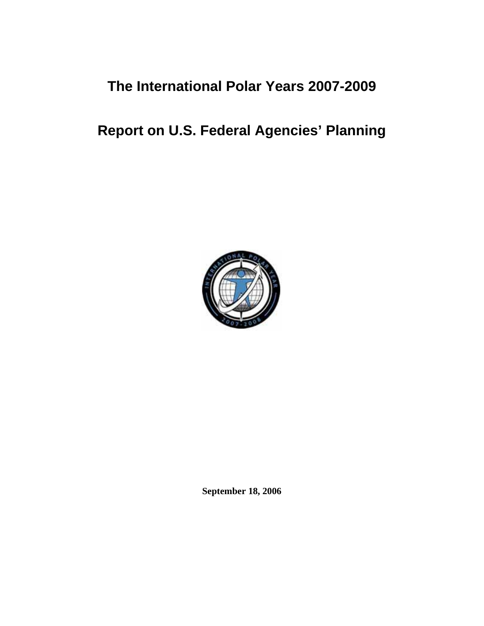# **The International Polar Years 2007-2009**

# **Report on U.S. Federal Agencies' Planning**



**September 18, 2006**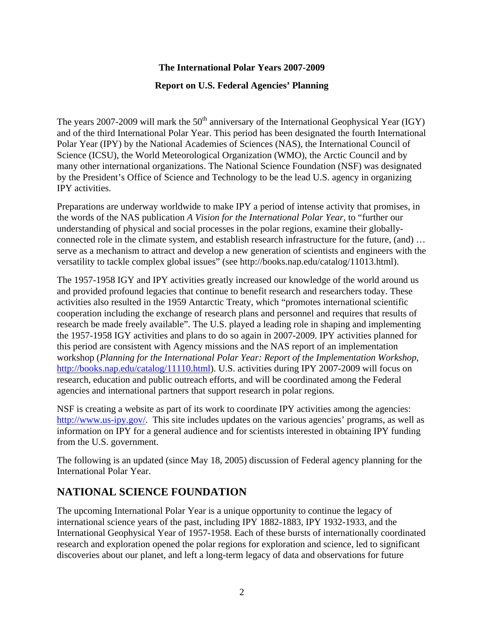## **The International Polar Years 2007-2009**

#### **Report on U.S. Federal Agencies' Planning**

The years 2007-2009 will mark the  $50<sup>th</sup>$  anniversary of the International Geophysical Year (IGY) and of the third International Polar Year. This period has been designated the fourth International Polar Year (IPY) by the National Academies of Sciences (NAS), the International Council of Science (ICSU), the World Meteorological Organization (WMO), the Arctic Council and by many other international organizations. The National Science Foundation (NSF) was designated by the President's Office of Science and Technology to be the lead U.S. agency in organizing IPY activities.

Preparations are underway worldwide to make IPY a period of intense activity that promises, in the words of the NAS publication *A Vision for the International Polar Year,* to "further our understanding of physical and social processes in the polar regions, examine their globallyconnected role in the climate system, and establish research infrastructure for the future, (and) … serve as a mechanism to attract and develop a new generation of scientists and engineers with the versatility to tackle complex global issues" (see http://books.nap.edu/catalog/11013.html).

The 1957-1958 IGY and IPY activities greatly increased our knowledge of the world around us and provided profound legacies that continue to benefit research and researchers today. These activities also resulted in the 1959 Antarctic Treaty, which "promotes international scientific cooperation including the exchange of research plans and personnel and requires that results of research be made freely available". The U.S. played a leading role in shaping and implementing the 1957-1958 IGY activities and plans to do so again in 2007-2009. IPY activities planned for this period are consistent with Agency missions and the NAS report of an implementation workshop (*Planning for the International Polar Year: Report of the Implementation Workshop*, <http://books.nap.edu/catalog/11110.html>). U.S. activities during IPY 2007-2009 will focus on research, education and public outreach efforts, and will be coordinated among the Federal agencies and international partners that support research in polar regions.

NSF is creating a website as part of its work to coordinate IPY activities among the agencies: <http://www.us-ipy.gov/>. This site includes updates on the various agencies' programs, as well as information on IPY for a general audience and for scientists interested in obtaining IPY funding from the U.S. government.

The following is an updated (since May 18, 2005) discussion of Federal agency planning for the International Polar Year.

# **NATIONAL SCIENCE FOUNDATION**

The upcoming International Polar Year is a unique opportunity to continue the legacy of international science years of the past, including IPY 1882-1883, IPY 1932-1933, and the International Geophysical Year of 1957-1958. Each of these bursts of internationally coordinated research and exploration opened the polar regions for exploration and science, led to significant discoveries about our planet, and left a long-term legacy of data and observations for future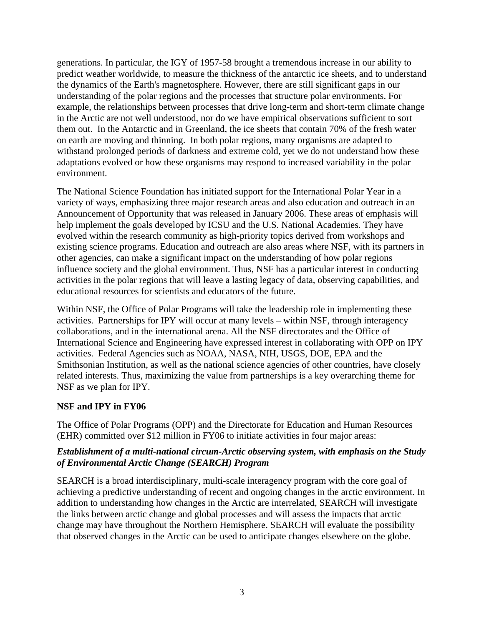generations. In particular, the IGY of 1957-58 brought a tremendous increase in our ability to predict weather worldwide, to measure the thickness of the antarctic ice sheets, and to understand the dynamics of the Earth's magnetosphere. However, there are still significant gaps in our understanding of the polar regions and the processes that structure polar environments. For example, the relationships between processes that drive long-term and short-term climate change in the Arctic are not well understood, nor do we have empirical observations sufficient to sort them out. In the Antarctic and in Greenland, the ice sheets that contain 70% of the fresh water on earth are moving and thinning. In both polar regions, many organisms are adapted to withstand prolonged periods of darkness and extreme cold, yet we do not understand how these adaptations evolved or how these organisms may respond to increased variability in the polar environment.

The National Science Foundation has initiated support for the International Polar Year in a variety of ways, emphasizing three major research areas and also education and outreach in an Announcement of Opportunity that was released in January 2006. These areas of emphasis will help implement the goals developed by ICSU and the U.S. National Academies. They have evolved within the research community as high-priority topics derived from workshops and existing science programs. Education and outreach are also areas where NSF, with its partners in other agencies, can make a significant impact on the understanding of how polar regions influence society and the global environment. Thus, NSF has a particular interest in conducting activities in the polar regions that will leave a lasting legacy of data, observing capabilities, and educational resources for scientists and educators of the future.

Within NSF, the Office of Polar Programs will take the leadership role in implementing these activities. Partnerships for IPY will occur at many levels – within NSF, through interagency collaborations, and in the international arena. All the NSF directorates and the Office of International Science and Engineering have expressed interest in collaborating with OPP on IPY activities. Federal Agencies such as NOAA, NASA, NIH, USGS, DOE, EPA and the Smithsonian Institution, as well as the national science agencies of other countries, have closely related interests. Thus, maximizing the value from partnerships is a key overarching theme for NSF as we plan for IPY.

#### **NSF and IPY in FY06**

The Office of Polar Programs (OPP) and the Directorate for Education and Human Resources (EHR) committed over \$12 million in FY06 to initiate activities in four major areas:

#### *Establishment of a multi-national circum-Arctic observing system, with emphasis on the Study of Environmental Arctic Change (SEARCH) Program*

SEARCH is a broad interdisciplinary, multi-scale interagency program with the core goal of achieving a predictive understanding of recent and ongoing changes in the arctic environment. In addition to understanding how changes in the Arctic are interrelated, SEARCH will investigate the links between arctic change and global processes and will assess the impacts that arctic change may have throughout the Northern Hemisphere. SEARCH will evaluate the possibility that observed changes in the Arctic can be used to anticipate changes elsewhere on the globe.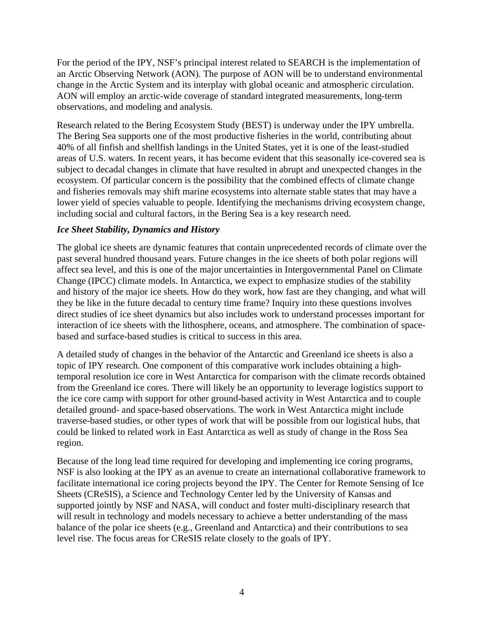For the period of the IPY, NSF's principal interest related to SEARCH is the implementation of an Arctic Observing Network (AON). The purpose of AON will be to understand environmental change in the Arctic System and its interplay with global oceanic and atmospheric circulation. AON will employ an arctic-wide coverage of standard integrated measurements, long-term observations, and modeling and analysis.

Research related to the Bering Ecosystem Study (BEST) is underway under the IPY umbrella. The Bering Sea supports one of the most productive fisheries in the world, contributing about 40% of all finfish and shellfish landings in the United States, yet it is one of the least-studied areas of U.S. waters. In recent years, it has become evident that this seasonally ice-covered sea is subject to decadal changes in climate that have resulted in abrupt and unexpected changes in the ecosystem. Of particular concern is the possibility that the combined effects of climate change and fisheries removals may shift marine ecosystems into alternate stable states that may have a lower yield of species valuable to people. Identifying the mechanisms driving ecosystem change, including social and cultural factors, in the Bering Sea is a key research need.

#### *Ice Sheet Stability, Dynamics and History*

The global ice sheets are dynamic features that contain unprecedented records of climate over the past several hundred thousand years. Future changes in the ice sheets of both polar regions will affect sea level, and this is one of the major uncertainties in Intergovernmental Panel on Climate Change (IPCC) climate models. In Antarctica, we expect to emphasize studies of the stability and history of the major ice sheets. How do they work, how fast are they changing, and what will they be like in the future decadal to century time frame? Inquiry into these questions involves direct studies of ice sheet dynamics but also includes work to understand processes important for interaction of ice sheets with the lithosphere, oceans, and atmosphere. The combination of spacebased and surface-based studies is critical to success in this area.

A detailed study of changes in the behavior of the Antarctic and Greenland ice sheets is also a topic of IPY research. One component of this comparative work includes obtaining a hightemporal resolution ice core in West Antarctica for comparison with the climate records obtained from the Greenland ice cores. There will likely be an opportunity to leverage logistics support to the ice core camp with support for other ground-based activity in West Antarctica and to couple detailed ground- and space-based observations. The work in West Antarctica might include traverse-based studies, or other types of work that will be possible from our logistical hubs, that could be linked to related work in East Antarctica as well as study of change in the Ross Sea region.

Because of the long lead time required for developing and implementing ice coring programs, NSF is also looking at the IPY as an avenue to create an international collaborative framework to facilitate international ice coring projects beyond the IPY. The Center for Remote Sensing of Ice Sheets (CReSIS), a Science and Technology Center led by the University of Kansas and supported jointly by NSF and NASA, will conduct and foster multi-disciplinary research that will result in technology and models necessary to achieve a better understanding of the mass balance of the polar ice sheets (e.g., Greenland and Antarctica) and their contributions to sea level rise. The focus areas for CReSIS relate closely to the goals of IPY.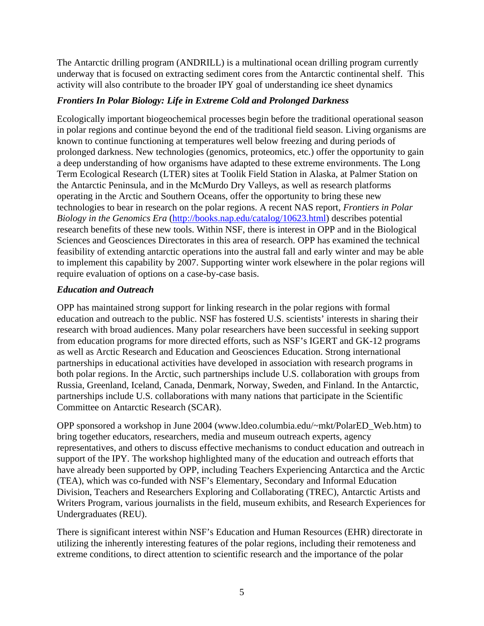The Antarctic drilling program (ANDRILL) is a multinational ocean drilling program currently underway that is focused on extracting sediment cores from the Antarctic continental shelf. This activity will also contribute to the broader IPY goal of understanding ice sheet dynamics

#### *Frontiers In Polar Biology: Life in Extreme Cold and Prolonged Darkness*

Ecologically important biogeochemical processes begin before the traditional operational season in polar regions and continue beyond the end of the traditional field season. Living organisms are known to continue functioning at temperatures well below freezing and during periods of prolonged darkness. New technologies (genomics, proteomics, etc.) offer the opportunity to gain a deep understanding of how organisms have adapted to these extreme environments. The Long Term Ecological Research (LTER) sites at Toolik Field Station in Alaska, at Palmer Station on the Antarctic Peninsula, and in the McMurdo Dry Valleys, as well as research platforms operating in the Arctic and Southern Oceans, offer the opportunity to bring these new technologies to bear in research on the polar regions. A recent NAS report, *Frontiers in Polar Biology in the Genomics Era* [\(http://books.nap.edu/catalog/10623.html\)](http://books.nap.edu/catalog/10623.html) describes potential research benefits of these new tools. Within NSF, there is interest in OPP and in the Biological Sciences and Geosciences Directorates in this area of research. OPP has examined the technical feasibility of extending antarctic operations into the austral fall and early winter and may be able to implement this capability by 2007. Supporting winter work elsewhere in the polar regions will require evaluation of options on a case-by-case basis.

#### *Education and Outreach*

OPP has maintained strong support for linking research in the polar regions with formal education and outreach to the public. NSF has fostered U.S. scientists' interests in sharing their research with broad audiences. Many polar researchers have been successful in seeking support from education programs for more directed efforts, such as NSF's IGERT and GK-12 programs as well as Arctic Research and Education and Geosciences Education. Strong international partnerships in educational activities have developed in association with research programs in both polar regions. In the Arctic, such partnerships include U.S. collaboration with groups from Russia, Greenland, Iceland, Canada, Denmark, Norway, Sweden, and Finland. In the Antarctic, partnerships include U.S. collaborations with many nations that participate in the Scientific Committee on Antarctic Research (SCAR).

OPP sponsored a workshop in June 2004 (www.ldeo.columbia.edu/~mkt/PolarED\_Web.htm) to bring together educators, researchers, media and museum outreach experts, agency representatives, and others to discuss effective mechanisms to conduct education and outreach in support of the IPY. The workshop highlighted many of the education and outreach efforts that have already been supported by OPP, including Teachers Experiencing Antarctica and the Arctic (TEA), which was co-funded with NSF's Elementary, Secondary and Informal Education Division, Teachers and Researchers Exploring and Collaborating (TREC), Antarctic Artists and Writers Program, various journalists in the field, museum exhibits, and Research Experiences for Undergraduates (REU).

There is significant interest within NSF's Education and Human Resources (EHR) directorate in utilizing the inherently interesting features of the polar regions, including their remoteness and extreme conditions, to direct attention to scientific research and the importance of the polar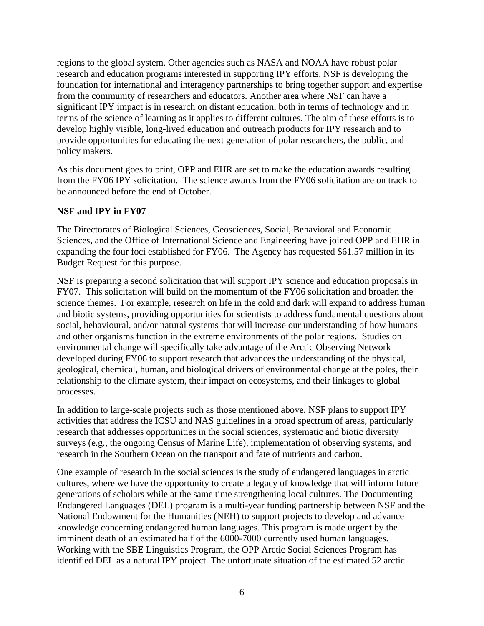regions to the global system. Other agencies such as NASA and NOAA have robust polar research and education programs interested in supporting IPY efforts. NSF is developing the foundation for international and interagency partnerships to bring together support and expertise from the community of researchers and educators. Another area where NSF can have a significant IPY impact is in research on distant education, both in terms of technology and in terms of the science of learning as it applies to different cultures. The aim of these efforts is to develop highly visible, long-lived education and outreach products for IPY research and to provide opportunities for educating the next generation of polar researchers, the public, and policy makers.

As this document goes to print, OPP and EHR are set to make the education awards resulting from the FY06 IPY solicitation. The science awards from the FY06 solicitation are on track to be announced before the end of October.

#### **NSF and IPY in FY07**

The Directorates of Biological Sciences, Geosciences, Social, Behavioral and Economic Sciences, and the Office of International Science and Engineering have joined OPP and EHR in expanding the four foci established for FY06. The Agency has requested \$61.57 million in its Budget Request for this purpose.

NSF is preparing a second solicitation that will support IPY science and education proposals in FY07. This solicitation will build on the momentum of the FY06 solicitation and broaden the science themes. For example, research on life in the cold and dark will expand to address human and biotic systems, providing opportunities for scientists to address fundamental questions about social, behavioural, and/or natural systems that will increase our understanding of how humans and other organisms function in the extreme environments of the polar regions. Studies on environmental change will specifically take advantage of the Arctic Observing Network developed during FY06 to support research that advances the understanding of the physical, geological, chemical, human, and biological drivers of environmental change at the poles, their relationship to the climate system, their impact on ecosystems, and their linkages to global processes.

In addition to large-scale projects such as those mentioned above, NSF plans to support IPY activities that address the ICSU and NAS guidelines in a broad spectrum of areas, particularly research that addresses opportunities in the social sciences, systematic and biotic diversity surveys (e.g., the ongoing Census of Marine Life), implementation of observing systems, and research in the Southern Ocean on the transport and fate of nutrients and carbon.

One example of research in the social sciences is the study of endangered languages in arctic cultures, where we have the opportunity to create a legacy of knowledge that will inform future generations of scholars while at the same time strengthening local cultures. The Documenting Endangered Languages (DEL) program is a multi-year funding partnership between NSF and the National Endowment for the Humanities (NEH) to support projects to develop and advance knowledge concerning endangered human languages. This program is made urgent by the imminent death of an estimated half of the 6000-7000 currently used human languages. Working with the SBE Linguistics Program, the OPP Arctic Social Sciences Program has identified DEL as a natural IPY project. The unfortunate situation of the estimated 52 arctic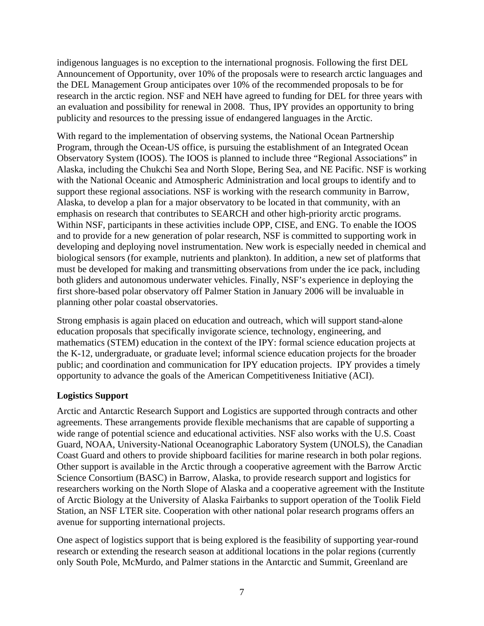indigenous languages is no exception to the international prognosis. Following the first DEL Announcement of Opportunity, over 10% of the proposals were to research arctic languages and the DEL Management Group anticipates over 10% of the recommended proposals to be for research in the arctic region. NSF and NEH have agreed to funding for DEL for three years with an evaluation and possibility for renewal in 2008. Thus, IPY provides an opportunity to bring publicity and resources to the pressing issue of endangered languages in the Arctic.

With regard to the implementation of observing systems, the National Ocean Partnership Program, through the Ocean-US office, is pursuing the establishment of an Integrated Ocean Observatory System (IOOS). The IOOS is planned to include three "Regional Associations" in Alaska, including the Chukchi Sea and North Slope, Bering Sea, and NE Pacific. NSF is working with the National Oceanic and Atmospheric Administration and local groups to identify and to support these regional associations. NSF is working with the research community in Barrow, Alaska, to develop a plan for a major observatory to be located in that community, with an emphasis on research that contributes to SEARCH and other high-priority arctic programs. Within NSF, participants in these activities include OPP, CISE, and ENG. To enable the IOOS and to provide for a new generation of polar research, NSF is committed to supporting work in developing and deploying novel instrumentation. New work is especially needed in chemical and biological sensors (for example, nutrients and plankton). In addition, a new set of platforms that must be developed for making and transmitting observations from under the ice pack, including both gliders and autonomous underwater vehicles. Finally, NSF's experience in deploying the first shore-based polar observatory off Palmer Station in January 2006 will be invaluable in planning other polar coastal observatories.

Strong emphasis is again placed on education and outreach, which will support stand-alone education proposals that specifically invigorate science, technology, engineering, and mathematics (STEM) education in the context of the IPY: formal science education projects at the K-12, undergraduate, or graduate level; informal science education projects for the broader public; and coordination and communication for IPY education projects. IPY provides a timely opportunity to advance the goals of the American Competitiveness Initiative (ACI).

#### **Logistics Support**

Arctic and Antarctic Research Support and Logistics are supported through contracts and other agreements. These arrangements provide flexible mechanisms that are capable of supporting a wide range of potential science and educational activities. NSF also works with the U.S. Coast Guard, NOAA, University-National Oceanographic Laboratory System (UNOLS), the Canadian Coast Guard and others to provide shipboard facilities for marine research in both polar regions. Other support is available in the Arctic through a cooperative agreement with the Barrow Arctic Science Consortium (BASC) in Barrow, Alaska, to provide research support and logistics for researchers working on the North Slope of Alaska and a cooperative agreement with the Institute of Arctic Biology at the University of Alaska Fairbanks to support operation of the Toolik Field Station, an NSF LTER site. Cooperation with other national polar research programs offers an avenue for supporting international projects.

One aspect of logistics support that is being explored is the feasibility of supporting year-round research or extending the research season at additional locations in the polar regions (currently only South Pole, McMurdo, and Palmer stations in the Antarctic and Summit, Greenland are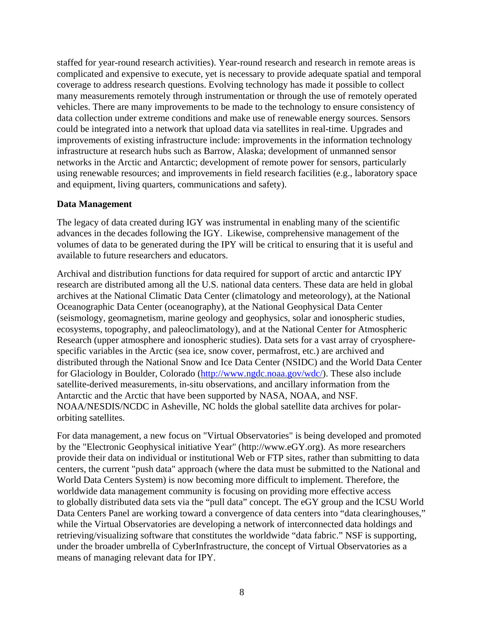staffed for year-round research activities). Year-round research and research in remote areas is complicated and expensive to execute, yet is necessary to provide adequate spatial and temporal coverage to address research questions. Evolving technology has made it possible to collect many measurements remotely through instrumentation or through the use of remotely operated vehicles. There are many improvements to be made to the technology to ensure consistency of data collection under extreme conditions and make use of renewable energy sources. Sensors could be integrated into a network that upload data via satellites in real-time. Upgrades and improvements of existing infrastructure include: improvements in the information technology infrastructure at research hubs such as Barrow, Alaska; development of unmanned sensor networks in the Arctic and Antarctic; development of remote power for sensors, particularly using renewable resources; and improvements in field research facilities (e.g., laboratory space and equipment, living quarters, communications and safety).

#### **Data Management**

The legacy of data created during IGY was instrumental in enabling many of the scientific advances in the decades following the IGY. Likewise, comprehensive management of the volumes of data to be generated during the IPY will be critical to ensuring that it is useful and available to future researchers and educators.

Archival and distribution functions for data required for support of arctic and antarctic IPY research are distributed among all the U.S. national data centers. These data are held in global archives at the National Climatic Data Center (climatology and meteorology), at the National Oceanographic Data Center (oceanography), at the National Geophysical Data Center (seismology, geomagnetism, marine geology and geophysics, solar and ionospheric studies, ecosystems, topography, and paleoclimatology), and at the National Center for Atmospheric Research (upper atmosphere and ionospheric studies). Data sets for a vast array of cryospherespecific variables in the Arctic (sea ice, snow cover, permafrost, etc.) are archived and distributed through the National Snow and Ice Data Center (NSIDC) and the World Data Center for Glaciology in Boulder, Colorado [\(http://www.ngdc.noaa.gov/wdc/](http://www.ngdc.noaa.gov/wdc/)). These also include satellite-derived measurements, in-situ observations, and ancillary information from the Antarctic and the Arctic that have been supported by NASA, NOAA, and NSF. NOAA/NESDIS/NCDC in Asheville, NC holds the global satellite data archives for polarorbiting satellites.

For data management, a new focus on "Virtual Observatories" is being developed and promoted by the "Electronic Geophysical initiative Year" (http://www.eGY.org). As more researchers provide their data on individual or institutional Web or FTP sites, rather than submitting to data centers, the current "push data" approach (where the data must be submitted to the National and World Data Centers System) is now becoming more difficult to implement. Therefore, the worldwide data management community is focusing on providing more effective access to globally distributed data sets via the "pull data" concept. The eGY group and the ICSU World Data Centers Panel are working toward a convergence of data centers into "data clearinghouses," while the Virtual Observatories are developing a network of interconnected data holdings and retrieving/visualizing software that constitutes the worldwide "data fabric." NSF is supporting, under the broader umbrella of CyberInfrastructure, the concept of Virtual Observatories as a means of managing relevant data for IPY.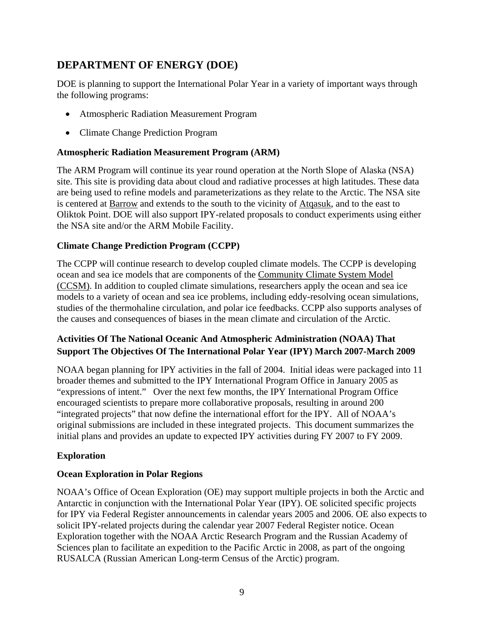# **DEPARTMENT OF ENERGY (DOE)**

DOE is planning to support the International Polar Year in a variety of important ways through the following programs:

- Atmospheric Radiation Measurement Program
- Climate Change Prediction Program

### **Atmospheric Radiation Measurement Program (ARM)**

The ARM Program will continue its year round operation at the North Slope of Alaska (NSA) site. This site is providing data about cloud and radiative processes at high latitudes. These data are being used to refine models and parameterizations as they relate to the Arctic. The NSA site is centered at [Barrow](http://www.arm.gov/sites/nsa/barrow.stm) and extends to the south to the vicinity of [Atqasuk,](http://www.arm.gov/sites/nsa/atqasuk.stm) and to the east to Oliktok Point. DOE will also support IPY-related proposals to conduct experiments using either the NSA site and/or the ARM Mobile Facility.

## **Climate Change Prediction Program (CCPP)**

The CCPP will continue research to develop coupled climate models. The CCPP is developing ocean and sea ice models that are components of the [Community Climate System Model](http://www.ccsm.ucar.edu/)  [\(CCSM\)](http://www.ccsm.ucar.edu/). In addition to coupled climate simulations, researchers apply the ocean and sea ice models to a variety of ocean and sea ice problems, including eddy-resolving ocean simulations, studies of the thermohaline circulation, and polar ice feedbacks. CCPP also supports analyses of the causes and consequences of biases in the mean climate and circulation of the Arctic.

# **Activities Of The National Oceanic And Atmospheric Administration (NOAA) That Support The Objectives Of The International Polar Year (IPY) March 2007-March 2009**

NOAA began planning for IPY activities in the fall of 2004. Initial ideas were packaged into 11 broader themes and submitted to the IPY International Program Office in January 2005 as "expressions of intent." Over the next few months, the IPY International Program Office encouraged scientists to prepare more collaborative proposals, resulting in around 200 "integrated projects" that now define the international effort for the IPY. All of NOAA's original submissions are included in these integrated projects. This document summarizes the initial plans and provides an update to expected IPY activities during FY 2007 to FY 2009.

# **Exploration**

#### **Ocean Exploration in Polar Regions**

NOAA's Office of Ocean Exploration (OE) may support multiple projects in both the Arctic and Antarctic in conjunction with the International Polar Year (IPY). OE solicited specific projects for IPY via Federal Register announcements in calendar years 2005 and 2006. OE also expects to solicit IPY-related projects during the calendar year 2007 Federal Register notice. Ocean Exploration together with the NOAA Arctic Research Program and the Russian Academy of Sciences plan to facilitate an expedition to the Pacific Arctic in 2008, as part of the ongoing RUSALCA (Russian American Long-term Census of the Arctic) program.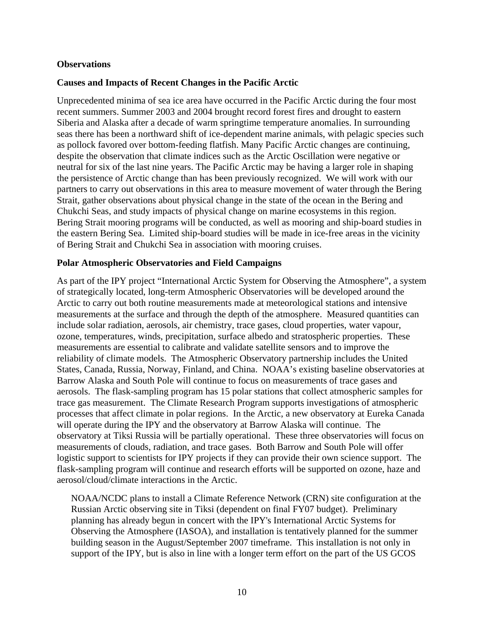#### **Observations**

#### **Causes and Impacts of Recent Changes in the Pacific Arctic**

Unprecedented minima of sea ice area have occurred in the Pacific Arctic during the four most recent summers. Summer 2003 and 2004 brought record forest fires and drought to eastern Siberia and Alaska after a decade of warm springtime temperature anomalies. In surrounding seas there has been a northward shift of ice-dependent marine animals, with pelagic species such as pollock favored over bottom-feeding flatfish. Many Pacific Arctic changes are continuing, despite the observation that climate indices such as the Arctic Oscillation were negative or neutral for six of the last nine years. The Pacific Arctic may be having a larger role in shaping the persistence of Arctic change than has been previously recognized. We will work with our partners to carry out observations in this area to measure movement of water through the Bering Strait, gather observations about physical change in the state of the ocean in the Bering and Chukchi Seas, and study impacts of physical change on marine ecosystems in this region. Bering Strait mooring programs will be conducted, as well as mooring and ship-board studies in the eastern Bering Sea. Limited ship-board studies will be made in ice-free areas in the vicinity of Bering Strait and Chukchi Sea in association with mooring cruises.

#### **Polar Atmospheric Observatories and Field Campaigns**

As part of the IPY project "International Arctic System for Observing the Atmosphere", a system of strategically located, long-term Atmospheric Observatories will be developed around the Arctic to carry out both routine measurements made at meteorological stations and intensive measurements at the surface and through the depth of the atmosphere. Measured quantities can include solar radiation, aerosols, air chemistry, trace gases, cloud properties, water vapour, ozone, temperatures, winds, precipitation, surface albedo and stratospheric properties. These measurements are essential to calibrate and validate satellite sensors and to improve the reliability of climate models. The Atmospheric Observatory partnership includes the United States, Canada, Russia, Norway, Finland, and China. NOAA's existing baseline observatories at Barrow Alaska and South Pole will continue to focus on measurements of trace gases and aerosols. The flask-sampling program has 15 polar stations that collect atmospheric samples for trace gas measurement. The Climate Research Program supports investigations of atmospheric processes that affect climate in polar regions. In the Arctic, a new observatory at Eureka Canada will operate during the IPY and the observatory at Barrow Alaska will continue. The observatory at Tiksi Russia will be partially operational. These three observatories will focus on measurements of clouds, radiation, and trace gases. Both Barrow and South Pole will offer logistic support to scientists for IPY projects if they can provide their own science support. The flask-sampling program will continue and research efforts will be supported on ozone, haze and aerosol/cloud/climate interactions in the Arctic.

NOAA/NCDC plans to install a Climate Reference Network (CRN) site configuration at the Russian Arctic observing site in Tiksi (dependent on final FY07 budget). Preliminary planning has already begun in concert with the IPY's International Arctic Systems for Observing the Atmosphere (IASOA), and installation is tentatively planned for the summer building season in the August/September 2007 timeframe. This installation is not only in support of the IPY, but is also in line with a longer term effort on the part of the US GCOS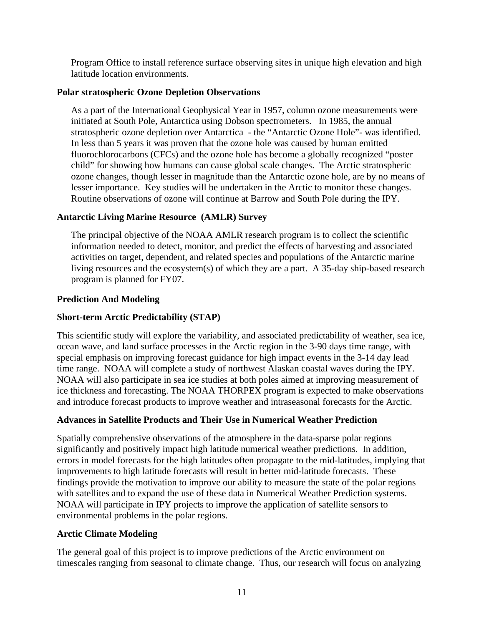Program Office to install reference surface observing sites in unique high elevation and high latitude location environments.

#### **Polar stratospheric Ozone Depletion Observations**

As a part of the International Geophysical Year in 1957, column ozone measurements were initiated at South Pole, Antarctica using Dobson spectrometers. In 1985, the annual stratospheric ozone depletion over Antarctica - the "Antarctic Ozone Hole"- was identified. In less than 5 years it was proven that the ozone hole was caused by human emitted fluorochlorocarbons (CFCs) and the ozone hole has become a globally recognized "poster child" for showing how humans can cause global scale changes. The Arctic stratospheric ozone changes, though lesser in magnitude than the Antarctic ozone hole, are by no means of lesser importance. Key studies will be undertaken in the Arctic to monitor these changes. Routine observations of ozone will continue at Barrow and South Pole during the IPY.

#### **Antarctic Living Marine Resource (AMLR) Survey**

The principal objective of the NOAA AMLR research program is to collect the scientific information needed to detect, monitor, and predict the effects of harvesting and associated activities on target, dependent, and related species and populations of the Antarctic marine living resources and the ecosystem(s) of which they are a part. A 35-day ship-based research program is planned for FY07.

#### **Prediction And Modeling**

### **Short-term Arctic Predictability (STAP)**

This scientific study will explore the variability, and associated predictability of weather, sea ice, ocean wave, and land surface processes in the Arctic region in the 3-90 days time range, with special emphasis on improving forecast guidance for high impact events in the 3-14 day lead time range. NOAA will complete a study of northwest Alaskan coastal waves during the IPY. NOAA will also participate in sea ice studies at both poles aimed at improving measurement of ice thickness and forecasting. The NOAA THORPEX program is expected to make observations and introduce forecast products to improve weather and intraseasonal forecasts for the Arctic.

#### **Advances in Satellite Products and Their Use in Numerical Weather Prediction**

Spatially comprehensive observations of the atmosphere in the data-sparse polar regions significantly and positively impact high latitude numerical weather predictions. In addition, errors in model forecasts for the high latitudes often propagate to the mid-latitudes, implying that improvements to high latitude forecasts will result in better mid-latitude forecasts. These findings provide the motivation to improve our ability to measure the state of the polar regions with satellites and to expand the use of these data in Numerical Weather Prediction systems. NOAA will participate in IPY projects to improve the application of satellite sensors to environmental problems in the polar regions.

#### **Arctic Climate Modeling**

The general goal of this project is to improve predictions of the Arctic environment on timescales ranging from seasonal to climate change. Thus, our research will focus on analyzing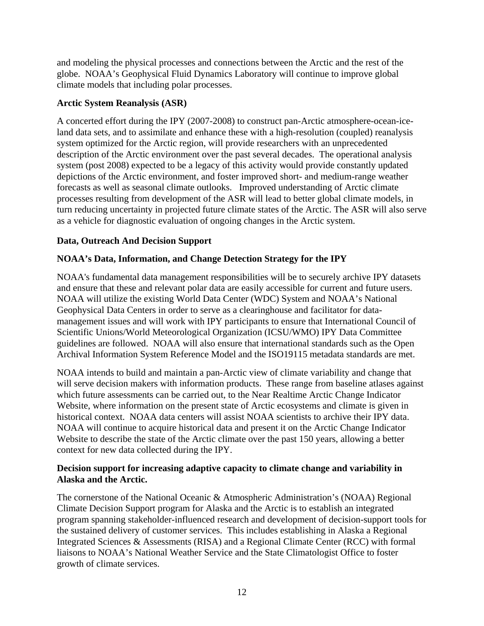and modeling the physical processes and connections between the Arctic and the rest of the globe. NOAA's Geophysical Fluid Dynamics Laboratory will continue to improve global climate models that including polar processes.

#### **Arctic System Reanalysis (ASR)**

A concerted effort during the IPY (2007-2008) to construct pan-Arctic atmosphere-ocean-iceland data sets, and to assimilate and enhance these with a high-resolution (coupled) reanalysis system optimized for the Arctic region, will provide researchers with an unprecedented description of the Arctic environment over the past several decades. The operational analysis system (post 2008) expected to be a legacy of this activity would provide constantly updated depictions of the Arctic environment, and foster improved short- and medium-range weather forecasts as well as seasonal climate outlooks. Improved understanding of Arctic climate processes resulting from development of the ASR will lead to better global climate models, in turn reducing uncertainty in projected future climate states of the Arctic. The ASR will also serve as a vehicle for diagnostic evaluation of ongoing changes in the Arctic system.

## **Data, Outreach And Decision Support**

# **NOAA's Data, Information, and Change Detection Strategy for the IPY**

NOAA's fundamental data management responsibilities will be to securely archive IPY datasets and ensure that these and relevant polar data are easily accessible for current and future users. NOAA will utilize the existing World Data Center (WDC) System and NOAA's National Geophysical Data Centers in order to serve as a clearinghouse and facilitator for datamanagement issues and will work with IPY participants to ensure that International Council of Scientific Unions/World Meteorological Organization (ICSU/WMO) IPY Data Committee guidelines are followed. NOAA will also ensure that international standards such as the Open Archival Information System Reference Model and the ISO19115 metadata standards are met.

NOAA intends to build and maintain a pan-Arctic view of climate variability and change that will serve decision makers with information products. These range from baseline atlases against which future assessments can be carried out, to the Near Realtime Arctic Change Indicator Website, where information on the present state of Arctic ecosystems and climate is given in historical context. NOAA data centers will assist NOAA scientists to archive their IPY data. NOAA will continue to acquire historical data and present it on the Arctic Change Indicator Website to describe the state of the Arctic climate over the past 150 years, allowing a better context for new data collected during the IPY.

#### **Decision support for increasing adaptive capacity to climate change and variability in Alaska and the Arctic.**

The cornerstone of the National Oceanic & Atmospheric Administration's (NOAA) Regional Climate Decision Support program for Alaska and the Arctic is to establish an integrated program spanning stakeholder-influenced research and development of decision-support tools for the sustained delivery of customer services. This includes establishing in Alaska a Regional Integrated Sciences & Assessments (RISA) and a Regional Climate Center (RCC) with formal liaisons to NOAA's National Weather Service and the State Climatologist Office to foster growth of climate services.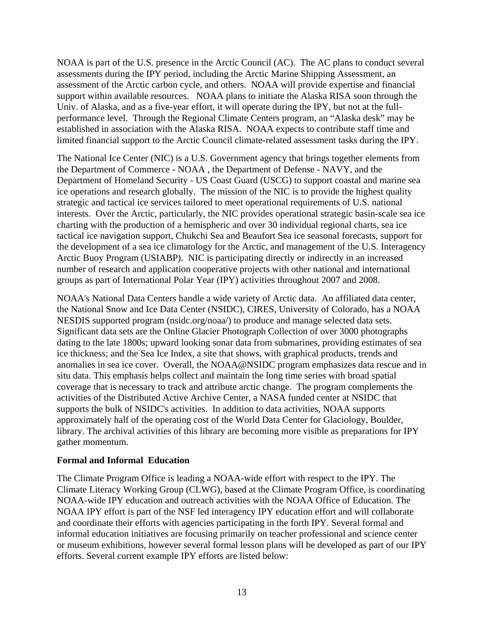NOAA is part of the U.S. presence in the Arctic Council (AC). The AC plans to conduct several assessments during the IPY period, including the Arctic Marine Shipping Assessment, an assessment of the Arctic carbon cycle, and others. NOAA will provide expertise and financial support within available resources. NOAA plans to initiate the Alaska RISA soon through the Univ. of Alaska, and as a five-year effort, it will operate during the IPY, but not at the fullperformance level. Through the Regional Climate Centers program, an "Alaska desk" may be established in association with the Alaska RISA. NOAA expects to contribute staff time and limited financial support to the Arctic Council climate-related assessment tasks during the IPY.

The National Ice Center (NIC) is a U.S. Government agency that brings together elements from the Department of Commerce - NOAA , the Department of Defense - NAVY, and the Department of Homeland Security - US Coast Guard (USCG) to support coastal and marine sea ice operations and research globally. The mission of the NIC is to provide the highest quality strategic and tactical ice services tailored to meet operational requirements of U.S. national interests. Over the Arctic, particularly, the NIC provides operational strategic basin-scale sea ice charting with the production of a hemispheric and over 30 individual regional charts, sea ice tactical ice navigation support, Chukchi Sea and Beaufort Sea ice seasonal forecasts, support for the development of a sea ice climatology for the Arctic, and management of the U.S. Interagency Arctic Buoy Program (USIABP). NIC is participating directly or indirectly in an increased number of research and application cooperative projects with other national and international groups as part of International Polar Year (IPY) activities throughout 2007 and 2008.

NOAA's National Data Centers handle a wide variety of Arctic data. An affiliated data center, the National Snow and Ice Data Center (NSIDC), CIRES, University of Colorado, has a NOAA NESDIS supported program (nsidc.org/noaa/) to produce and manage selected data sets. Significant data sets are the Online Glacier Photograph Collection of over 3000 photographs dating to the late 1800s; upward looking sonar data from submarines, providing estimates of sea ice thickness; and the Sea Ice Index, a site that shows, with graphical products, trends and anomalies in sea ice cover. Overall, the NOAA@NSIDC program emphasizes data rescue and in situ data. This emphasis helps collect and maintain the long time series with broad spatial coverage that is necessary to track and attribute arctic change. The program complements the activities of the Distributed Active Archive Center, a NASA funded center at NSIDC that supports the bulk of NSIDC's activities. In addition to data activities, NOAA supports approximately half of the operating cost of the World Data Center for Glaciology, Boulder, library. The archival activities of this library are becoming more visible as preparations for IPY gather momentum.

#### **Formal and Informal Education**

The Climate Program Office is leading a NOAA-wide effort with respect to the IPY. The Climate Literacy Working Group (CLWG), based at the Climate Program Office, is coordinating NOAA-wide IPY education and outreach activities with the NOAA Office of Education. The NOAA IPY effort is part of the NSF led interagency IPY education effort and will collaborate and coordinate their efforts with agencies participating in the forth IPY. Several formal and informal education initiatives are focusing primarily on teacher professional and science center or museum exhibitions, however several formal lesson plans will be developed as part of our IPY efforts. Several current example IPY efforts are listed below: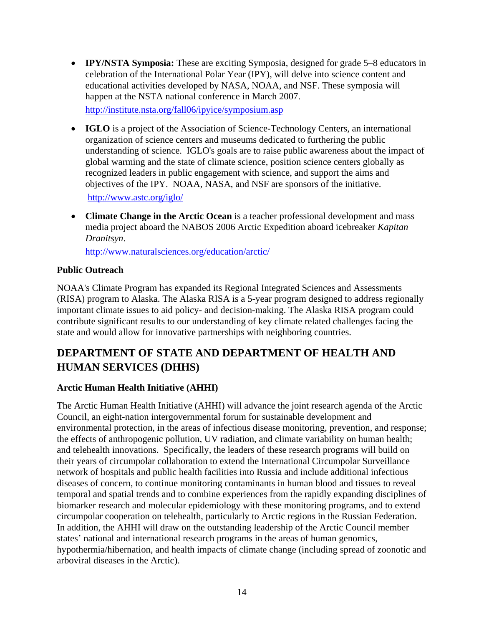• **IPY/NSTA Symposia:** These are exciting Symposia, designed for grade 5–8 educators in celebration of the International Polar Year (IPY), will delve into science content and educational activities developed by NASA, NOAA, and NSF. These symposia will happen at the NSTA national conference in March 2007.

<http://institute.nsta.org/fall06/ipyice/symposium.asp>

• **IGLO** is a project of the Association of Science-Technology Centers, an international organization of science centers and museums dedicated to furthering the public understanding of science. IGLO's goals are to raise public awareness about the impact of global warming and the state of climate science, position science centers globally as recognized leaders in public engagement with science, and support the aims and objectives of the IPY. NOAA, NASA, and NSF are sponsors of the initiative.

<http://www.astc.org/iglo/>

• **Climate Change in the Arctic Ocean** is a teacher professional development and mass media project aboard the NABOS 2006 Arctic Expedition aboard icebreaker *Kapitan Dranitsyn*.

<http://www.naturalsciences.org/education/arctic/>

## **Public Outreach**

NOAA's Climate Program has expanded its Regional Integrated Sciences and Assessments (RISA) program to Alaska. The Alaska RISA is a 5-year program designed to address regionally important climate issues to aid policy- and decision-making. The Alaska RISA program could contribute significant results to our understanding of key climate related challenges facing the state and would allow for innovative partnerships with neighboring countries.

# **DEPARTMENT OF STATE AND DEPARTMENT OF HEALTH AND HUMAN SERVICES (DHHS)**

# **Arctic Human Health Initiative (AHHI)**

The Arctic Human Health Initiative (AHHI) will advance the joint research agenda of the Arctic Council, an eight-nation intergovernmental forum for sustainable development and environmental protection, in the areas of infectious disease monitoring, prevention, and response; the effects of anthropogenic pollution, UV radiation, and climate variability on human health; and telehealth innovations. Specifically, the leaders of these research programs will build on their years of circumpolar collaboration to extend the International Circumpolar Surveillance network of hospitals and public health facilities into Russia and include additional infectious diseases of concern, to continue monitoring contaminants in human blood and tissues to reveal temporal and spatial trends and to combine experiences from the rapidly expanding disciplines of biomarker research and molecular epidemiology with these monitoring programs, and to extend circumpolar cooperation on telehealth, particularly to Arctic regions in the Russian Federation. In addition, the AHHI will draw on the outstanding leadership of the Arctic Council member states' national and international research programs in the areas of human genomics, hypothermia/hibernation, and health impacts of climate change (including spread of zoonotic and arboviral diseases in the Arctic).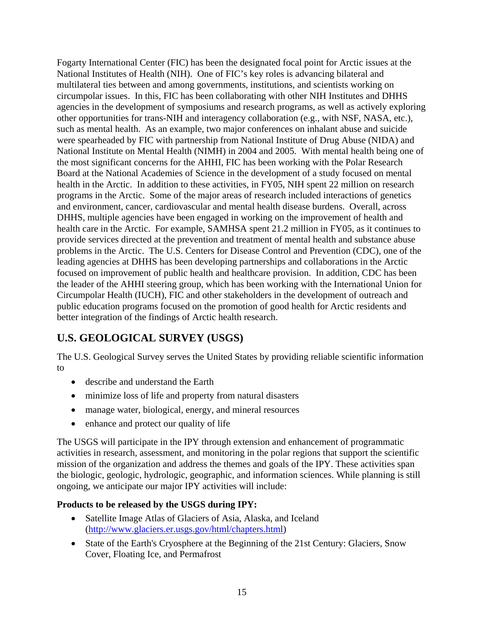Fogarty International Center (FIC) has been the designated focal point for Arctic issues at the National Institutes of Health (NIH). One of FIC's key roles is advancing bilateral and multilateral ties between and among governments, institutions, and scientists working on circumpolar issues. In this, FIC has been collaborating with other NIH Institutes and DHHS agencies in the development of symposiums and research programs, as well as actively exploring other opportunities for trans-NIH and interagency collaboration (e.g., with NSF, NASA, etc.), such as mental health. As an example, two major conferences on inhalant abuse and suicide were spearheaded by FIC with partnership from National Institute of Drug Abuse (NIDA) and National Institute on Mental Health (NIMH) in 2004 and 2005. With mental health being one of the most significant concerns for the AHHI, FIC has been working with the Polar Research Board at the National Academies of Science in the development of a study focused on mental health in the Arctic. In addition to these activities, in FY05, NIH spent 22 million on research programs in the Arctic. Some of the major areas of research included interactions of genetics and environment, cancer, cardiovascular and mental health disease burdens. Overall, across DHHS, multiple agencies have been engaged in working on the improvement of health and health care in the Arctic. For example, SAMHSA spent 21.2 million in FY05, as it continues to provide services directed at the prevention and treatment of mental health and substance abuse problems in the Arctic. The U.S. Centers for Disease Control and Prevention (CDC), one of the leading agencies at DHHS has been developing partnerships and collaborations in the Arctic focused on improvement of public health and healthcare provision. In addition, CDC has been the leader of the AHHI steering group, which has been working with the International Union for Circumpolar Health (IUCH), FIC and other stakeholders in the development of outreach and public education programs focused on the promotion of good health for Arctic residents and better integration of the findings of Arctic health research.

# **U.S. GEOLOGICAL SURVEY (USGS)**

The U.S. Geological Survey serves the United States by providing reliable scientific information to

- describe and understand the Earth
- minimize loss of life and property from natural disasters
- manage water, biological, energy, and mineral resources
- enhance and protect our quality of life

The USGS will participate in the IPY through extension and enhancement of programmatic activities in research, assessment, and monitoring in the polar regions that support the scientific mission of the organization and address the themes and goals of the IPY. These activities span the biologic, geologic, hydrologic, geographic, and information sciences. While planning is still ongoing, we anticipate our major IPY activities will include:

# **Products to be released by the USGS during IPY:**

- Satellite Image Atlas of Glaciers of Asia, Alaska, and Iceland (<http://www.glaciers.er.usgs.gov/html/chapters.html>)
- State of the Earth's Cryosphere at the Beginning of the 21st Century: Glaciers, Snow Cover, Floating Ice, and Permafrost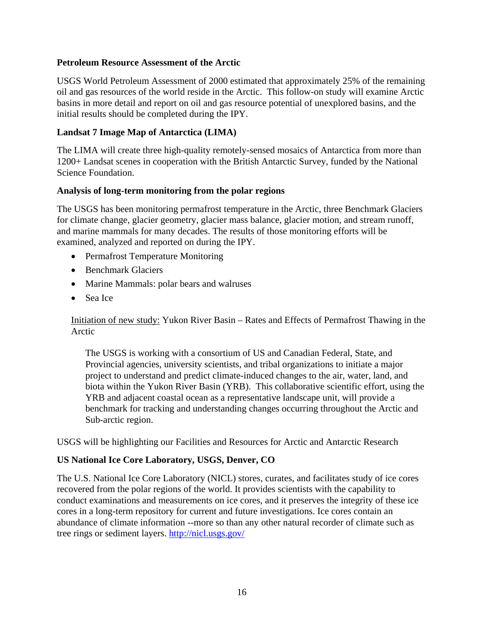#### **Petroleum Resource Assessment of the Arctic**

USGS World Petroleum Assessment of 2000 estimated that approximately 25% of the remaining oil and gas resources of the world reside in the Arctic. This follow-on study will examine Arctic basins in more detail and report on oil and gas resource potential of unexplored basins, and the initial results should be completed during the IPY.

#### **Landsat 7 Image Map of Antarctica (LIMA)**

The LIMA will create three high-quality remotely-sensed mosaics of Antarctica from more than 1200+ Landsat scenes in cooperation with the British Antarctic Survey, funded by the National Science Foundation.

#### **Analysis of long-term monitoring from the polar regions**

The USGS has been monitoring permafrost temperature in the Arctic, three Benchmark Glaciers for climate change, glacier geometry, glacier mass balance, glacier motion, and stream runoff, and marine mammals for many decades. The results of those monitoring efforts will be examined, analyzed and reported on during the IPY.

- Permafrost Temperature Monitoring
- Benchmark Glaciers
- Marine Mammals: polar bears and walruses
- Sea Ice

Initiation of new study: Yukon River Basin – Rates and Effects of Permafrost Thawing in the Arctic

The USGS is working with a consortium of US and Canadian Federal, State, and Provincial agencies, university scientists, and tribal organizations to initiate a major project to understand and predict climate-induced changes to the air, water, land, and biota within the Yukon River Basin (YRB). This collaborative scientific effort, using the YRB and adjacent coastal ocean as a representative landscape unit, will provide a benchmark for tracking and understanding changes occurring throughout the Arctic and Sub-arctic region.

USGS will be highlighting our Facilities and Resources for Arctic and Antarctic Research

#### **US National Ice Core Laboratory, USGS, Denver, CO**

The U.S. National Ice Core Laboratory (NICL) stores, curates, and facilitates study of ice cores recovered from the polar regions of the world. It provides scientists with the capability to conduct examinations and measurements on ice cores, and it preserves the integrity of these ice cores in a long-term repository for current and future investigations. Ice cores contain an abundance of climate information --more so than any other natural recorder of climate such as tree rings or sediment layers. <http://nicl.usgs.gov/>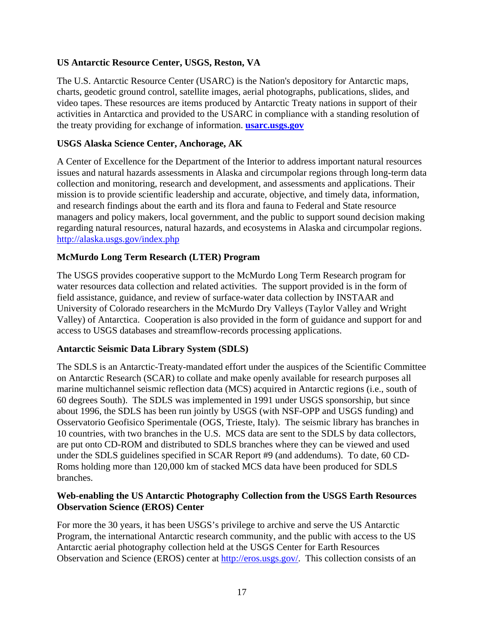### **US Antarctic Resource Center, USGS, Reston, VA**

The U.S. Antarctic Resource Center (USARC) is the Nation's depository for Antarctic maps, charts, geodetic ground control, satellite images, aerial photographs, publications, slides, and video tapes. These resources are items produced by Antarctic Treaty nations in support of their activities in Antarctica and provided to the USARC in compliance with a standing resolution of the treaty providing for exchange of information. **[usarc.usgs.gov](http://usarc.usgs.gov/)**

### **USGS Alaska Science Center, Anchorage, AK**

A Center of Excellence for the Department of the Interior to address important natural resources issues and natural hazards assessments in Alaska and circumpolar regions through long-term data collection and monitoring, research and development, and assessments and applications. Their mission is to provide scientific leadership and accurate, objective, and timely data, information, and research findings about the earth and its flora and fauna to Federal and State resource managers and policy makers, local government, and the public to support sound decision making regarding natural resources, natural hazards, and ecosystems in Alaska and circumpolar regions. <http://alaska.usgs.gov/index.php>

## **McMurdo Long Term Research (LTER) Program**

The USGS provides cooperative support to the McMurdo Long Term Research program for water resources data collection and related activities. The support provided is in the form of field assistance, guidance, and review of surface-water data collection by INSTAAR and University of Colorado researchers in the McMurdo Dry Valleys (Taylor Valley and Wright Valley) of Antarctica. Cooperation is also provided in the form of guidance and support for and access to USGS databases and streamflow-records processing applications.

#### **Antarctic Seismic Data Library System (SDLS)**

The SDLS is an Antarctic-Treaty-mandated effort under the auspices of the Scientific Committee on Antarctic Research (SCAR) to collate and make openly available for research purposes all marine multichannel seismic reflection data (MCS) acquired in Antarctic regions (i.e., south of 60 degrees South). The SDLS was implemented in 1991 under USGS sponsorship, but since about 1996, the SDLS has been run jointly by USGS (with NSF-OPP and USGS funding) and Osservatorio Geofisico Sperimentale (OGS, Trieste, Italy). The seismic library has branches in 10 countries, with two branches in the U.S. MCS data are sent to the SDLS by data collectors, are put onto CD-ROM and distributed to SDLS branches where they can be viewed and used under the SDLS guidelines specified in SCAR Report #9 (and addendums). To date, 60 CD-Roms holding more than 120,000 km of stacked MCS data have been produced for SDLS branches.

#### **Web-enabling the US Antarctic Photography Collection from the USGS Earth Resources Observation Science (EROS) Center**

For more the 30 years, it has been USGS's privilege to archive and serve the US Antarctic Program, the international Antarctic research community, and the public with access to the US Antarctic aerial photography collection held at the USGS Center for Earth Resources Observation and Science (EROS) center at http://eros.usgs.gov/. This collection consists of an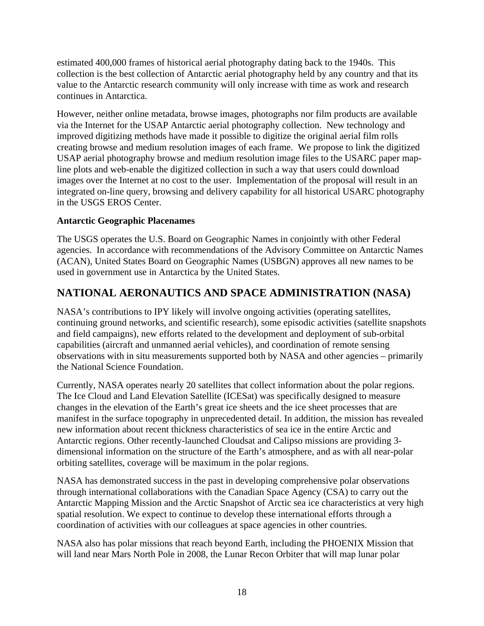estimated 400,000 frames of historical aerial photography dating back to the 1940s. This collection is the best collection of Antarctic aerial photography held by any country and that its value to the Antarctic research community will only increase with time as work and research continues in Antarctica.

However, neither online metadata, browse images, photographs nor film products are available via the Internet for the USAP Antarctic aerial photography collection. New technology and improved digitizing methods have made it possible to digitize the original aerial film rolls creating browse and medium resolution images of each frame. We propose to link the digitized USAP aerial photography browse and medium resolution image files to the USARC paper mapline plots and web-enable the digitized collection in such a way that users could download images over the Internet at no cost to the user. Implementation of the proposal will result in an integrated on-line query, browsing and delivery capability for all historical USARC photography in the USGS EROS Center.

## **Antarctic Geographic Placenames**

The USGS operates the U.S. Board on Geographic Names in conjointly with other Federal agencies. In accordance with recommendations of the Advisory Committee on Antarctic Names (ACAN), United States Board on Geographic Names (USBGN) approves all new names to be used in government use in Antarctica by the United States.

# **NATIONAL AERONAUTICS AND SPACE ADMINISTRATION (NASA)**

NASA's contributions to IPY likely will involve ongoing activities (operating satellites, continuing ground networks, and scientific research), some episodic activities (satellite snapshots and field campaigns), new efforts related to the development and deployment of sub-orbital capabilities (aircraft and unmanned aerial vehicles), and coordination of remote sensing observations with in situ measurements supported both by NASA and other agencies – primarily the National Science Foundation.

Currently, NASA operates nearly 20 satellites that collect information about the polar regions. The Ice Cloud and Land Elevation Satellite (ICESat) was specifically designed to measure changes in the elevation of the Earth's great ice sheets and the ice sheet processes that are manifest in the surface topography in unprecedented detail. In addition, the mission has revealed new information about recent thickness characteristics of sea ice in the entire Arctic and Antarctic regions. Other recently-launched Cloudsat and Calipso missions are providing 3 dimensional information on the structure of the Earth's atmosphere, and as with all near-polar orbiting satellites, coverage will be maximum in the polar regions.

NASA has demonstrated success in the past in developing comprehensive polar observations through international collaborations with the Canadian Space Agency (CSA) to carry out the Antarctic Mapping Mission and the Arctic Snapshot of Arctic sea ice characteristics at very high spatial resolution. We expect to continue to develop these international efforts through a coordination of activities with our colleagues at space agencies in other countries.

NASA also has polar missions that reach beyond Earth, including the PHOENIX Mission that will land near Mars North Pole in 2008, the Lunar Recon Orbiter that will map lunar polar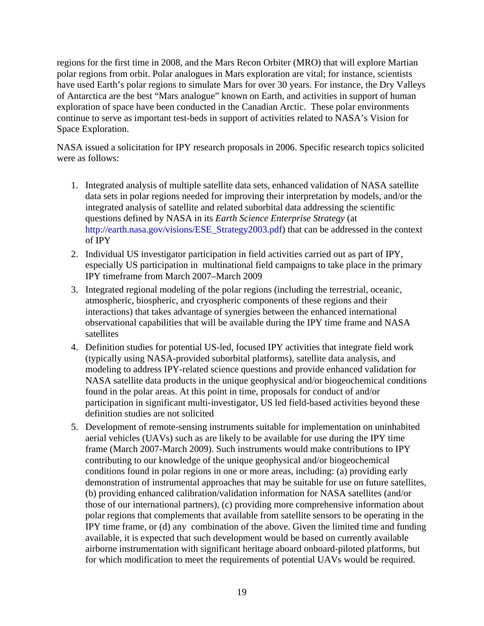regions for the first time in 2008, and the Mars Recon Orbiter (MRO) that will explore Martian polar regions from orbit. Polar analogues in Mars exploration are vital; for instance, scientists have used Earth's polar regions to simulate Mars for over 30 years. For instance, the Dry Valleys of Antarctica are the best "Mars analogue" known on Earth, and activities in support of human exploration of space have been conducted in the Canadian Arctic. These polar environments continue to serve as important test-beds in support of activities related to NASA's Vision for Space Exploration.

NASA issued a solicitation for IPY research proposals in 2006. Specific research topics solicited were as follows:

- 1. Integrated analysis of multiple satellite data sets, enhanced validation of NASA satellite data sets in polar regions needed for improving their interpretation by models, and/or the integrated analysis of satellite and related suborbital data addressing the scientific questions defined by NASA in its *Earth Science Enterprise Strategy* (at http://earth.nasa.gov/visions/ESE\_Strategy2003.pdf) that can be addressed in the context of IPY
- 2. Individual US investigator participation in field activities carried out as part of IPY, especially US participation in multinational field campaigns to take place in the primary IPY timeframe from March 2007–March 2009
- 3. Integrated regional modeling of the polar regions (including the terrestrial, oceanic, atmospheric, biospheric, and cryospheric components of these regions and their interactions) that takes advantage of synergies between the enhanced international observational capabilities that will be available during the IPY time frame and NASA satellites
- 4. Definition studies for potential US-led, focused IPY activities that integrate field work (typically using NASA-provided suborbital platforms), satellite data analysis, and modeling to address IPY-related science questions and provide enhanced validation for NASA satellite data products in the unique geophysical and/or biogeochemical conditions found in the polar areas. At this point in time, proposals for conduct of and/or participation in significant multi-investigator, US led field-based activities beyond these definition studies are not solicited
- 5. Development of remote-sensing instruments suitable for implementation on uninhabited aerial vehicles (UAVs) such as are likely to be available for use during the IPY time frame (March 2007-March 2009). Such instruments would make contributions to IPY contributing to our knowledge of the unique geophysical and/or biogeochemical conditions found in polar regions in one or more areas, including: (a) providing early demonstration of instrumental approaches that may be suitable for use on future satellites, (b) providing enhanced calibration/validation information for NASA satellites (and/or those of our international partners), (c) providing more comprehensive information about polar regions that complements that available from satellite sensors to be operating in the IPY time frame, or (d) any combination of the above. Given the limited time and funding available, it is expected that such development would be based on currently available airborne instrumentation with significant heritage aboard onboard-piloted platforms, but for which modification to meet the requirements of potential UAVs would be required.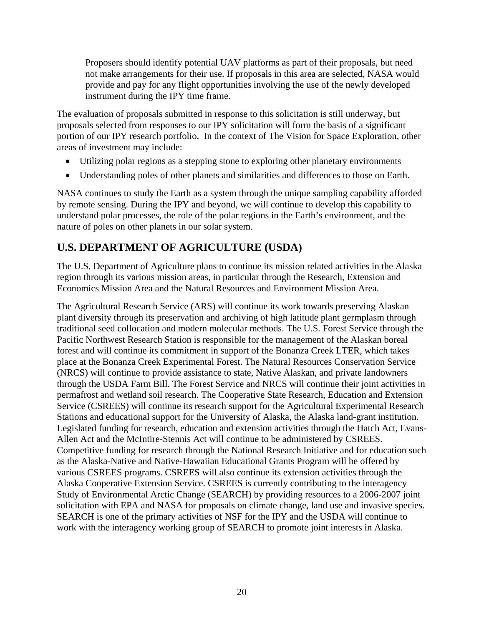Proposers should identify potential UAV platforms as part of their proposals, but need not make arrangements for their use. If proposals in this area are selected, NASA would provide and pay for any flight opportunities involving the use of the newly developed instrument during the IPY time frame.

The evaluation of proposals submitted in response to this solicitation is still underway, but proposals selected from responses to our IPY solicitation will form the basis of a significant portion of our IPY research portfolio. In the context of The Vision for Space Exploration, other areas of investment may include:

- Utilizing polar regions as a stepping stone to exploring other planetary environments
- Understanding poles of other planets and similarities and differences to those on Earth.

NASA continues to study the Earth as a system through the unique sampling capability afforded by remote sensing. During the IPY and beyond, we will continue to develop this capability to understand polar processes, the role of the polar regions in the Earth's environment, and the nature of poles on other planets in our solar system.

# **U.S. DEPARTMENT OF AGRICULTURE (USDA)**

The U.S. Department of Agriculture plans to continue its mission related activities in the Alaska region through its various mission areas, in particular through the Research, Extension and Economics Mission Area and the Natural Resources and Environment Mission Area.

The Agricultural Research Service (ARS) will continue its work towards preserving Alaskan plant diversity through its preservation and archiving of high latitude plant germplasm through traditional seed collocation and modern molecular methods. The U.S. Forest Service through the Pacific Northwest Research Station is responsible for the management of the Alaskan boreal forest and will continue its commitment in support of the Bonanza Creek LTER, which takes place at the Bonanza Creek Experimental Forest. The Natural Resources Conservation Service (NRCS) will continue to provide assistance to state, Native Alaskan, and private landowners through the USDA Farm Bill. The Forest Service and NRCS will continue their joint activities in permafrost and wetland soil research. The Cooperative State Research, Education and Extension Service (CSREES) will continue its research support for the Agricultural Experimental Research Stations and educational support for the University of Alaska, the Alaska land-grant institution. Legislated funding for research, education and extension activities through the Hatch Act, Evans-Allen Act and the McIntire-Stennis Act will continue to be administered by CSREES. Competitive funding for research through the National Research Initiative and for education such as the Alaska-Native and Native-Hawaiian Educational Grants Program will be offered by various CSREES programs. CSREES will also continue its extension activities through the Alaska Cooperative Extension Service. CSREES is currently contributing to the interagency Study of Environmental Arctic Change (SEARCH) by providing resources to a 2006-2007 joint solicitation with EPA and NASA for proposals on climate change, land use and invasive species. SEARCH is one of the primary activities of NSF for the IPY and the USDA will continue to work with the interagency working group of SEARCH to promote joint interests in Alaska.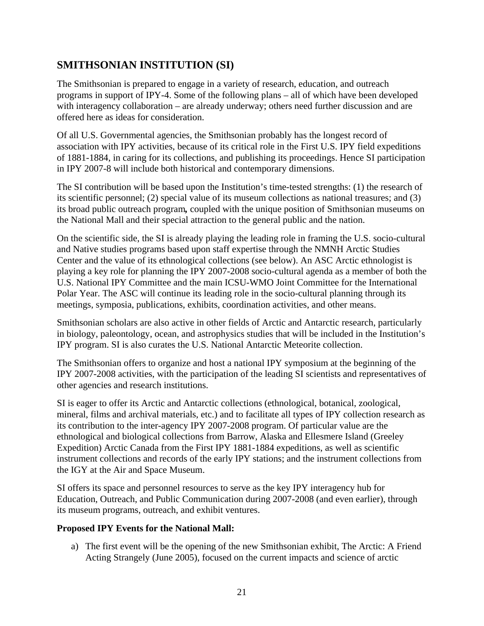# **SMITHSONIAN INSTITUTION (SI)**

The Smithsonian is prepared to engage in a variety of research, education, and outreach programs in support of IPY-4. Some of the following plans – all of which have been developed with interagency collaboration – are already underway; others need further discussion and are offered here as ideas for consideration.

Of all U.S. Governmental agencies, the Smithsonian probably has the longest record of association with IPY activities, because of its critical role in the First U.S. IPY field expeditions of 1881-1884, in caring for its collections, and publishing its proceedings. Hence SI participation in IPY 2007-8 will include both historical and contemporary dimensions.

The SI contribution will be based upon the Institution's time-tested strengths: (1) the research of its scientific personnel; (2) special value of its museum collections as national treasures; and (3) its broad public outreach program*,* coupled with the unique position of Smithsonian museums on the National Mall and their special attraction to the general public and the nation.

On the scientific side, the SI is already playing the leading role in framing the U.S. socio-cultural and Native studies programs based upon staff expertise through the NMNH Arctic Studies Center and the value of its ethnological collections (see below). An ASC Arctic ethnologist is playing a key role for planning the IPY 2007-2008 socio-cultural agenda as a member of both the U.S. National IPY Committee and the main ICSU-WMO Joint Committee for the International Polar Year. The ASC will continue its leading role in the socio-cultural planning through its meetings, symposia, publications, exhibits, coordination activities, and other means.

Smithsonian scholars are also active in other fields of Arctic and Antarctic research, particularly in biology, paleontology, ocean, and astrophysics studies that will be included in the Institution's IPY program. SI is also curates the U.S. National Antarctic Meteorite collection.

The Smithsonian offers to organize and host a national IPY symposium at the beginning of the IPY 2007-2008 activities, with the participation of the leading SI scientists and representatives of other agencies and research institutions.

SI is eager to offer its Arctic and Antarctic collections (ethnological, botanical, zoological, mineral, films and archival materials, etc.) and to facilitate all types of IPY collection research as its contribution to the inter-agency IPY 2007-2008 program. Of particular value are the ethnological and biological collections from Barrow, Alaska and Ellesmere Island (Greeley Expedition) Arctic Canada from the First IPY 1881-1884 expeditions, as well as scientific instrument collections and records of the early IPY stations; and the instrument collections from the IGY at the Air and Space Museum.

SI offers its space and personnel resources to serve as the key IPY interagency hub for Education, Outreach, and Public Communication during 2007-2008 (and even earlier), through its museum programs, outreach, and exhibit ventures.

#### **Proposed IPY Events for the National Mall:**

a) The first event will be the opening of the new Smithsonian exhibit, The Arctic: A Friend Acting Strangely (June 2005), focused on the current impacts and science of arctic